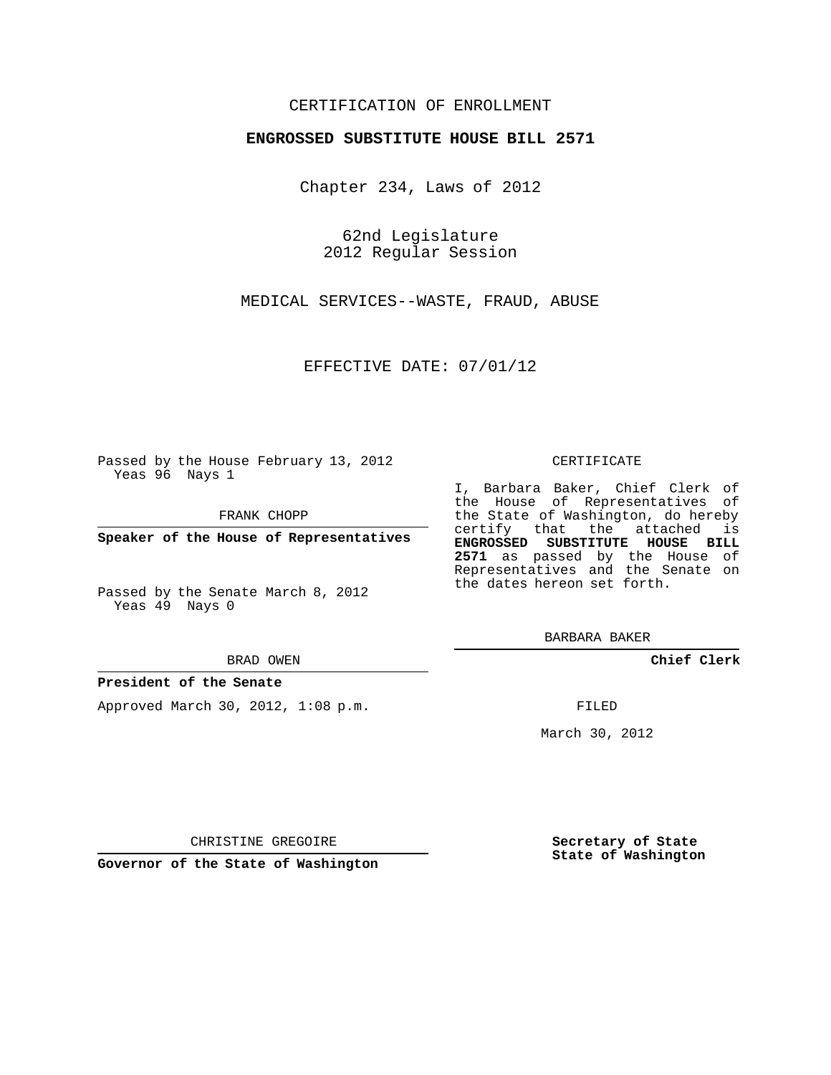## CERTIFICATION OF ENROLLMENT

## **ENGROSSED SUBSTITUTE HOUSE BILL 2571**

Chapter 234, Laws of 2012

62nd Legislature 2012 Regular Session

MEDICAL SERVICES--WASTE, FRAUD, ABUSE

EFFECTIVE DATE: 07/01/12

Passed by the House February 13, 2012 Yeas 96 Nays 1

FRANK CHOPP

**Speaker of the House of Representatives**

Passed by the Senate March 8, 2012 Yeas 49 Nays 0

#### BRAD OWEN

## **President of the Senate**

Approved March 30, 2012, 1:08 p.m.

#### CERTIFICATE

I, Barbara Baker, Chief Clerk of the House of Representatives of the State of Washington, do hereby certify that the attached is **ENGROSSED SUBSTITUTE HOUSE BILL 2571** as passed by the House of Representatives and the Senate on the dates hereon set forth.

BARBARA BAKER

**Chief Clerk**

FILED

March 30, 2012

**Secretary of State State of Washington**

CHRISTINE GREGOIRE

**Governor of the State of Washington**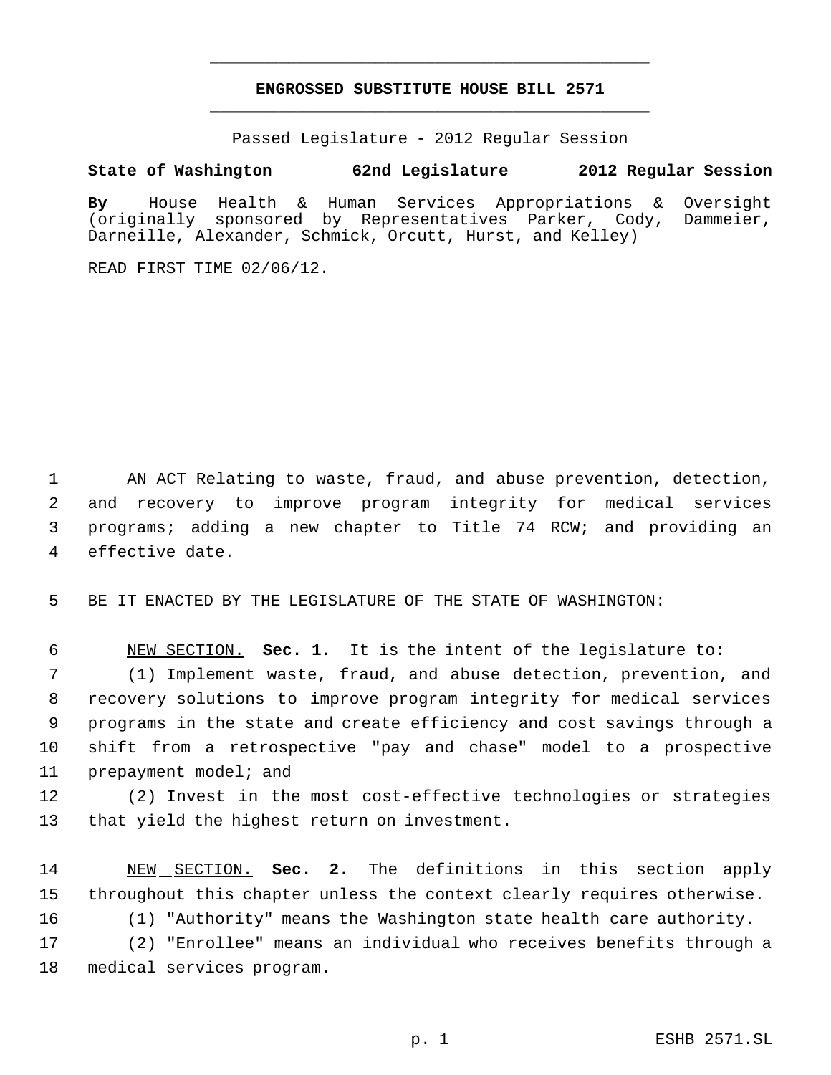# **ENGROSSED SUBSTITUTE HOUSE BILL 2571** \_\_\_\_\_\_\_\_\_\_\_\_\_\_\_\_\_\_\_\_\_\_\_\_\_\_\_\_\_\_\_\_\_\_\_\_\_\_\_\_\_\_\_\_\_

\_\_\_\_\_\_\_\_\_\_\_\_\_\_\_\_\_\_\_\_\_\_\_\_\_\_\_\_\_\_\_\_\_\_\_\_\_\_\_\_\_\_\_\_\_

Passed Legislature - 2012 Regular Session

# **State of Washington 62nd Legislature 2012 Regular Session**

**By** House Health & Human Services Appropriations & Oversight (originally sponsored by Representatives Parker, Cody, Dammeier, Darneille, Alexander, Schmick, Orcutt, Hurst, and Kelley)

READ FIRST TIME 02/06/12.

 AN ACT Relating to waste, fraud, and abuse prevention, detection, and recovery to improve program integrity for medical services programs; adding a new chapter to Title 74 RCW; and providing an effective date.

BE IT ENACTED BY THE LEGISLATURE OF THE STATE OF WASHINGTON:

NEW SECTION. **Sec. 1.** It is the intent of the legislature to:

 (1) Implement waste, fraud, and abuse detection, prevention, and recovery solutions to improve program integrity for medical services programs in the state and create efficiency and cost savings through a shift from a retrospective "pay and chase" model to a prospective prepayment model; and

 (2) Invest in the most cost-effective technologies or strategies that yield the highest return on investment.

 NEW SECTION. **Sec. 2.** The definitions in this section apply throughout this chapter unless the context clearly requires otherwise.

(1) "Authority" means the Washington state health care authority.

 (2) "Enrollee" means an individual who receives benefits through a medical services program.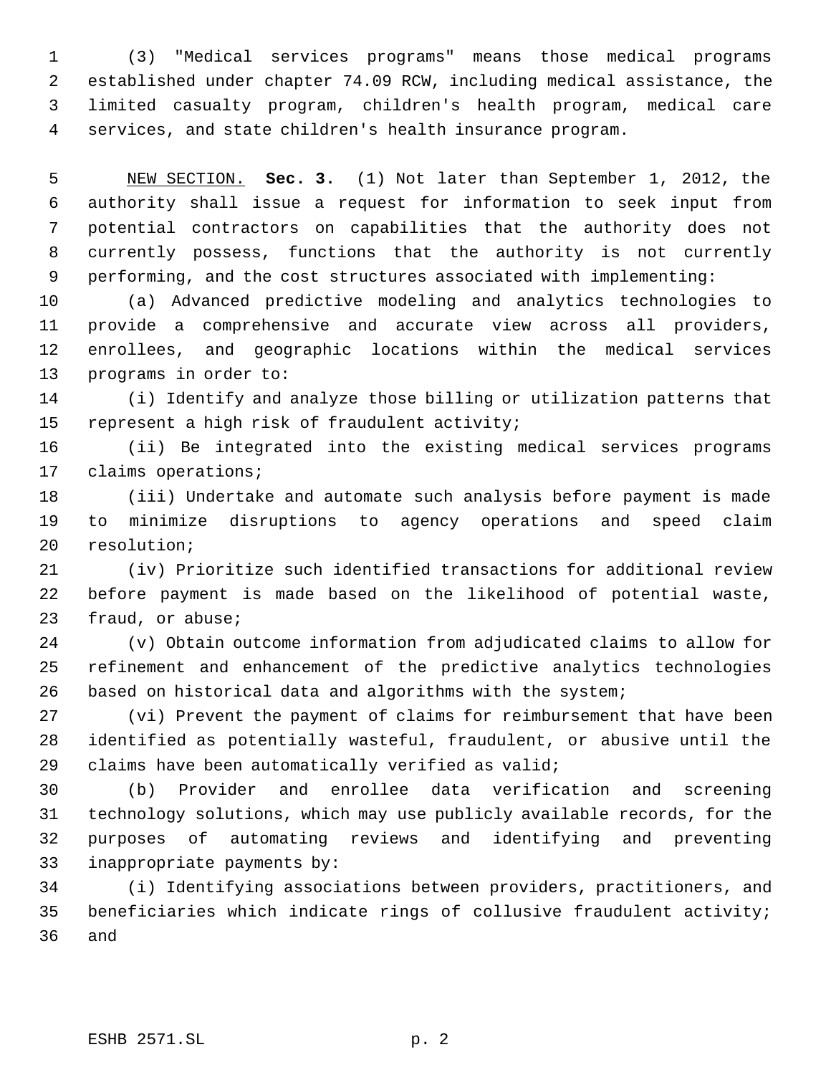(3) "Medical services programs" means those medical programs established under chapter 74.09 RCW, including medical assistance, the limited casualty program, children's health program, medical care services, and state children's health insurance program.

 NEW SECTION. **Sec. 3.** (1) Not later than September 1, 2012, the authority shall issue a request for information to seek input from potential contractors on capabilities that the authority does not currently possess, functions that the authority is not currently performing, and the cost structures associated with implementing:

 (a) Advanced predictive modeling and analytics technologies to provide a comprehensive and accurate view across all providers, enrollees, and geographic locations within the medical services programs in order to:

 (i) Identify and analyze those billing or utilization patterns that represent a high risk of fraudulent activity;

 (ii) Be integrated into the existing medical services programs claims operations;

 (iii) Undertake and automate such analysis before payment is made to minimize disruptions to agency operations and speed claim resolution;

 (iv) Prioritize such identified transactions for additional review before payment is made based on the likelihood of potential waste, fraud, or abuse;

 (v) Obtain outcome information from adjudicated claims to allow for refinement and enhancement of the predictive analytics technologies based on historical data and algorithms with the system;

 (vi) Prevent the payment of claims for reimbursement that have been identified as potentially wasteful, fraudulent, or abusive until the claims have been automatically verified as valid;

 (b) Provider and enrollee data verification and screening technology solutions, which may use publicly available records, for the purposes of automating reviews and identifying and preventing inappropriate payments by:

 (i) Identifying associations between providers, practitioners, and beneficiaries which indicate rings of collusive fraudulent activity; and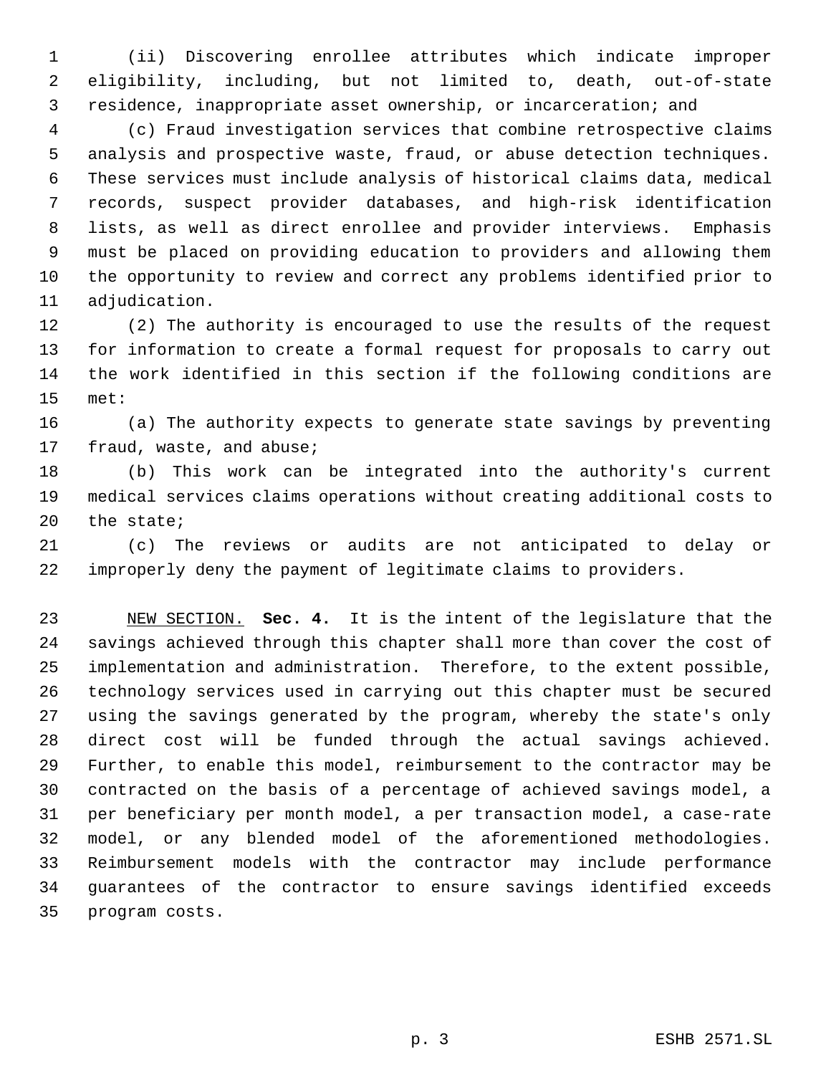(ii) Discovering enrollee attributes which indicate improper eligibility, including, but not limited to, death, out-of-state residence, inappropriate asset ownership, or incarceration; and

 (c) Fraud investigation services that combine retrospective claims analysis and prospective waste, fraud, or abuse detection techniques. These services must include analysis of historical claims data, medical records, suspect provider databases, and high-risk identification lists, as well as direct enrollee and provider interviews. Emphasis must be placed on providing education to providers and allowing them the opportunity to review and correct any problems identified prior to adjudication.

 (2) The authority is encouraged to use the results of the request for information to create a formal request for proposals to carry out the work identified in this section if the following conditions are met:

 (a) The authority expects to generate state savings by preventing fraud, waste, and abuse;

 (b) This work can be integrated into the authority's current medical services claims operations without creating additional costs to the state;

 (c) The reviews or audits are not anticipated to delay or improperly deny the payment of legitimate claims to providers.

 NEW SECTION. **Sec. 4.** It is the intent of the legislature that the savings achieved through this chapter shall more than cover the cost of implementation and administration. Therefore, to the extent possible, technology services used in carrying out this chapter must be secured using the savings generated by the program, whereby the state's only direct cost will be funded through the actual savings achieved. Further, to enable this model, reimbursement to the contractor may be contracted on the basis of a percentage of achieved savings model, a per beneficiary per month model, a per transaction model, a case-rate model, or any blended model of the aforementioned methodologies. Reimbursement models with the contractor may include performance guarantees of the contractor to ensure savings identified exceeds program costs.